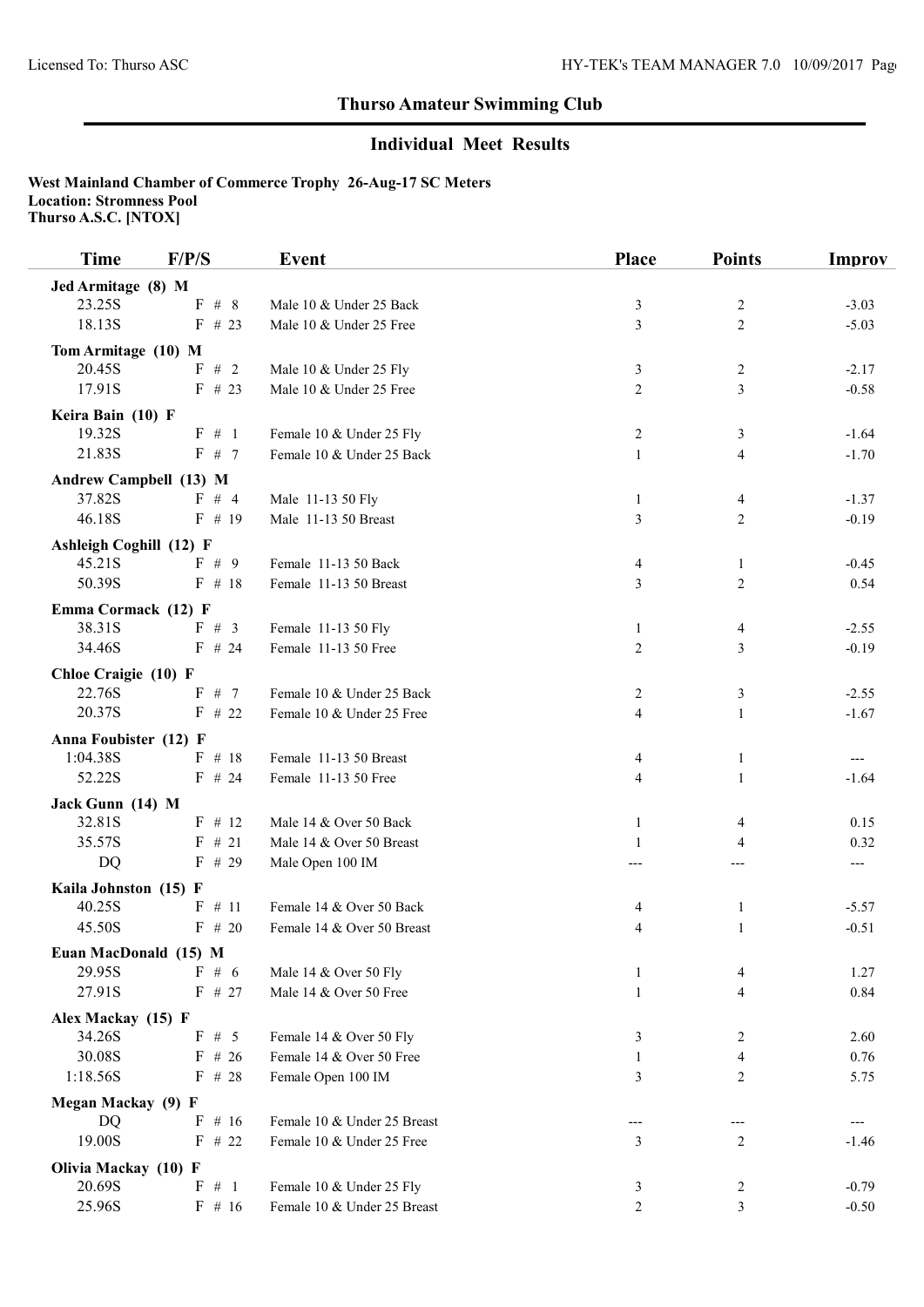## Thurso Amateur Swimming Club

## Individual Meet Results

West Mainland Chamber of Commerce Trophy 26-Aug-17 SC Meters Location: Stromness Pool Thurso A.S.C. [NTOX]

| <b>Time</b>                    | F/P/S              | <b>Event</b>                | <b>Place</b>                     | <b>Points</b>           | Improv  |
|--------------------------------|--------------------|-----------------------------|----------------------------------|-------------------------|---------|
| Jed Armitage (8) M             |                    |                             |                                  |                         |         |
| 23.25S                         | ${\bf F}$<br># $8$ | Male 10 & Under 25 Back     | $\mathfrak{Z}$                   | 2                       | $-3.03$ |
| 18.13S                         | $F$ # 23           | Male 10 & Under 25 Free     | $\overline{\mathbf{3}}$          | $\overline{2}$          | $-5.03$ |
| Tom Armitage (10) M            |                    |                             |                                  |                         |         |
| 20.45S                         | F # 2              | Male 10 & Under 25 Fly      | 3                                | $\overline{c}$          | $-2.17$ |
| 17.91S                         | $F$ # 23           | Male 10 & Under 25 Free     | $\overline{2}$                   | 3                       | $-0.58$ |
| Keira Bain (10) F              |                    |                             |                                  |                         |         |
| 19.32S                         | $F \# 1$           | Female 10 & Under 25 Fly    | $\overline{c}$                   | 3                       | $-1.64$ |
| 21.83S                         | F # 7              | Female 10 & Under 25 Back   | $\mathbf{1}$                     | $\overline{\mathbf{4}}$ | $-1.70$ |
| Andrew Campbell (13) M         |                    |                             |                                  |                         |         |
| 37.82S                         | F # 4              | Male 11-13 50 Fly           | $\mathbf{1}$                     | 4                       | $-1.37$ |
| 46.18S                         | $F$ # 19           | Male 11-13 50 Breast        | 3                                | $\overline{2}$          | $-0.19$ |
| <b>Ashleigh Coghill (12) F</b> |                    |                             |                                  |                         |         |
| 45.21S                         | F # 9              | Female 11-13 50 Back        | 4                                | $\mathbf{1}$            | $-0.45$ |
| 50.39S                         | $F$ # 18           | Female 11-13 50 Breast      | 3                                | $\overline{c}$          | 0.54    |
|                                |                    |                             |                                  |                         |         |
| Emma Cormack (12) F<br>38.31S  | $F \# 3$           | Female 11-13 50 Fly         | $\mathbf{1}$                     | 4                       | $-2.55$ |
| 34.46S                         | $F$ # 24           | Female 11-13 50 Free        | $\overline{c}$                   | 3                       | $-0.19$ |
|                                |                    |                             |                                  |                         |         |
| Chloe Craigie (10) F           |                    |                             |                                  |                         |         |
| 22.76S<br>20.37S               | F # 7<br>$F$ # 22  | Female 10 & Under 25 Back   | $\overline{c}$<br>$\overline{4}$ | $\mathfrak{Z}$          | $-2.55$ |
|                                |                    | Female 10 & Under 25 Free   |                                  | $\mathbf{1}$            | $-1.67$ |
| Anna Foubister (12) F          |                    |                             |                                  |                         |         |
| 1:04.38S                       | $F$ # 18           | Female 11-13 50 Breast      | 4                                | $\mathbf{1}$            |         |
| 52.22S                         | $F$ # 24           | Female 11-13 50 Free        | 4                                | $\mathbf{1}$            | $-1.64$ |
| Jack Gunn (14) M               |                    |                             |                                  |                         |         |
| 32.81S                         | $F$ # 12           | Male 14 & Over 50 Back      | 1                                | 4                       | 0.15    |
| 35.57S                         | $F$ # 21           | Male 14 & Over 50 Breast    | 1                                | 4                       | 0.32    |
| <b>DQ</b>                      | $F$ # 29           | Male Open 100 IM            |                                  | ---                     | ---     |
| Kaila Johnston (15) F          |                    |                             |                                  |                         |         |
| 40.25S                         | $F$ # 11           | Female 14 & Over 50 Back    | 4                                | $\mathbf{1}$            | $-5.57$ |
| 45.50S                         | $F$ # 20           | Female 14 & Over 50 Breast  | 4                                | $\mathbf{1}$            | $-0.51$ |
| Euan MacDonald (15) M          |                    |                             |                                  |                         |         |
| 29.95S                         | F # 6              | Male 14 & Over 50 Fly       | 1                                | 4                       | 1.27    |
| 27.91S                         | F # 27             | Male 14 & Over 50 Free      | $\mathbf{1}$                     | 4                       | 0.84    |
| Alex Mackay (15) F             |                    |                             |                                  |                         |         |
| 34.26S                         | F # 5              | Female 14 & Over 50 Fly     | 3                                | 2                       | 2.60    |
| 30.08S                         | $F$ # 26           | Female 14 & Over 50 Free    | $\mathbf{1}$                     | 4                       | 0.76    |
| 1:18.56S                       | $F$ # 28           | Female Open 100 IM          | 3                                | 2                       | 5.75    |
| Megan Mackay (9) F             |                    |                             |                                  |                         |         |
| DQ                             | $F$ # 16           | Female 10 & Under 25 Breast |                                  |                         |         |
| 19.00S                         | $F$ # 22           | Female 10 & Under 25 Free   | 3                                | 2                       | $-1.46$ |
| Olivia Mackay (10) F           |                    |                             |                                  |                         |         |
| 20.69S                         | F # 1              | Female 10 & Under 25 Fly    | 3                                | 2                       | $-0.79$ |
| 25.96S                         | $F$ # 16           | Female 10 & Under 25 Breast | $\overline{2}$                   | 3                       | $-0.50$ |
|                                |                    |                             |                                  |                         |         |